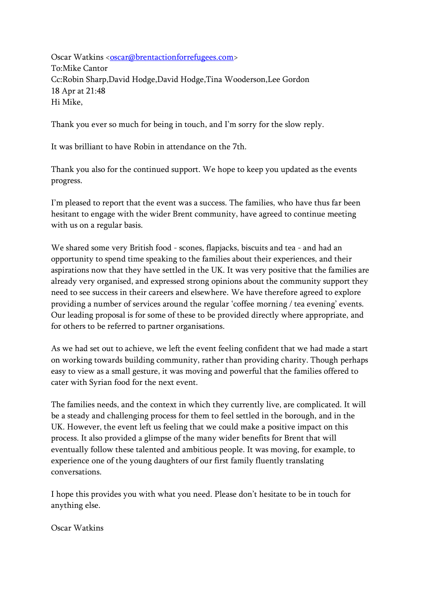Oscar Watkins <<u>oscar</u>@brentactionforrefugees.com> To:Mike Cantor Cc:Robin Sharp,David Hodge,David Hodge,Tina Wooderson,Lee Gordon 18 Apr at 21:48 Hi Mike,

Thank you ever so much for being in touch, and I'm sorry for the slow reply.

It was brilliant to have Robin in attendance on the 7th.

Thank you also for the continued support. We hope to keep you updated as the events progress.

I'm pleased to report that the event was a success. The families, who have thus far been hesitant to engage with the wider Brent community, have agreed to continue meeting with us on a regular basis.

We shared some very British food - scones, flapjacks, biscuits and tea - and had an opportunity to spend time speaking to the families about their experiences, and their aspirations now that they have settled in the UK. It was very positive that the families are already very organised, and expressed strong opinions about the community support they need to see success in their careers and elsewhere. We have therefore agreed to explore providing a number of services around the regular 'coffee morning / tea evening' events. Our leading proposal is for some of these to be provided directly where appropriate, and for others to be referred to partner organisations.

As we had set out to achieve, we left the event feeling confident that we had made a start on working towards building community, rather than providing charity. Though perhaps easy to view as a small gesture, it was moving and powerful that the families offered to cater with Syrian food for the next event.

The families needs, and the context in which they currently live, are complicated. It will be a steady and challenging process for them to feel settled in the borough, and in the UK. However, the event left us feeling that we could make a positive impact on this process. It also provided a glimpse of the many wider benefits for Brent that will eventually follow these talented and ambitious people. It was moving, for example, to experience one of the young daughters of our first family fluently translating conversations.

I hope this provides you with what you need. Please don't hesitate to be in touch for anything else.

Oscar Watkins